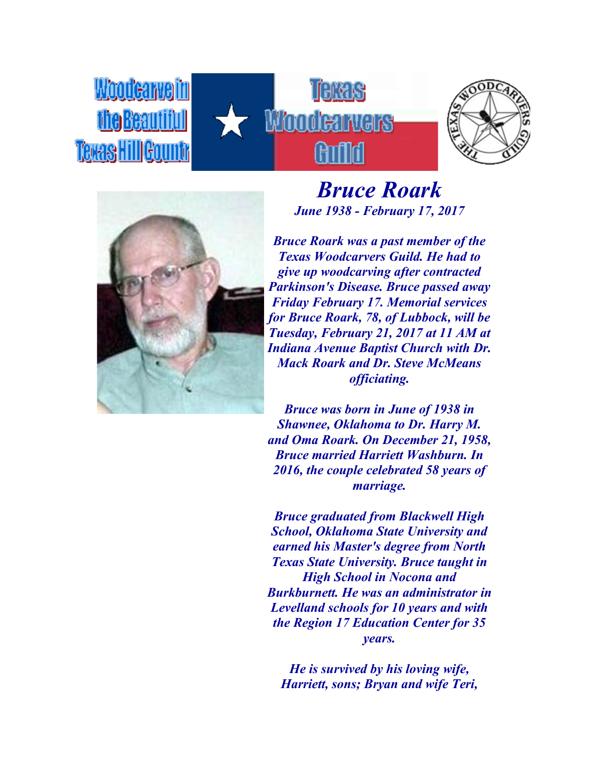





Woodeaweim

**Teras HillGoul** 

*Bruce Roark June 1938 - February 17, 2017*

*Bruce Roark was a past member of the Texas Woodcarvers Guild. He had to give up woodcarving after contracted Parkinson's Disease. Bruce passed away Friday February 17. Memorial services for Bruce Roark, 78, of Lubbock, will be Tuesday, February 21, 2017 at 11 AM at Indiana Avenue Baptist Church with Dr. Mack Roark and Dr. Steve McMeans officiating.*

*Bruce was born in June of 1938 in Shawnee, Oklahoma to Dr. Harry M. and Oma Roark. On December 21, 1958, Bruce married Harriett Washburn. In 2016, the couple celebrated 58 years of marriage.*

*Bruce graduated from Blackwell High School, Oklahoma State University and earned his Master's degree from North Texas State University. Bruce taught in High School in Nocona and Burkburnett. He was an administrator in Levelland schools for 10 years and with the Region 17 Education Center for 35 years.*

*He is survived by his loving wife, Harriett, sons; Bryan and wife Teri,*